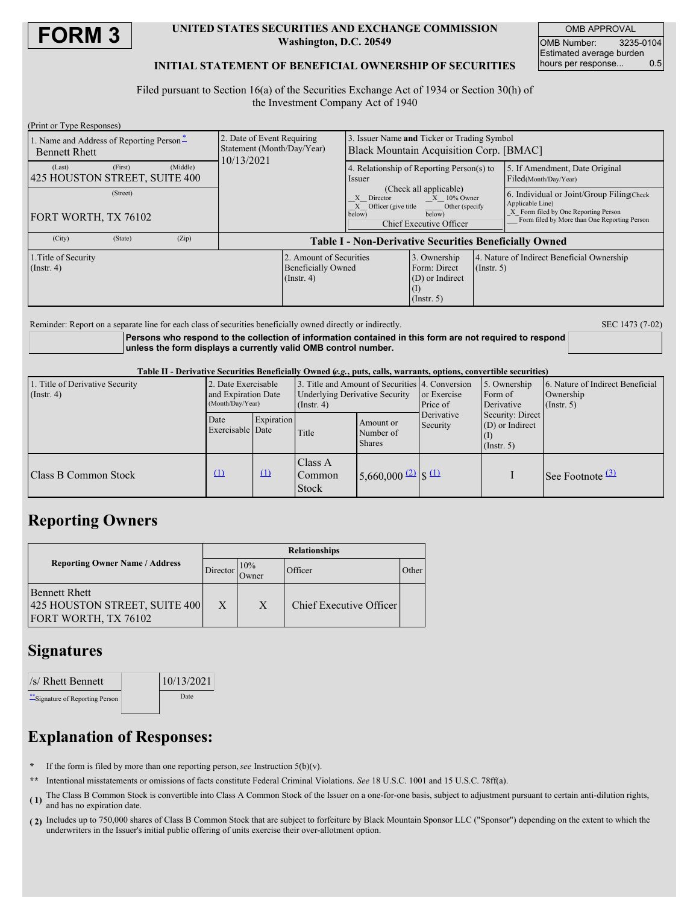

### **UNITED STATES SECURITIES AND EXCHANGE COMMISSION Washington, D.C. 20549**

OMB APPROVAL OMB Number: 3235-0104 Estimated average burden hours per response... 0.5

## **INITIAL STATEMENT OF BENEFICIAL OWNERSHIP OF SECURITIES**

Filed pursuant to Section 16(a) of the Securities Exchange Act of 1934 or Section 30(h) of the Investment Company Act of 1940

| (Print or Type Responses)                                        |         |          |                                                                        |                                                                          |                                                                                                                                                  |                                                                                         |                  |                                                                                                                                                       |
|------------------------------------------------------------------|---------|----------|------------------------------------------------------------------------|--------------------------------------------------------------------------|--------------------------------------------------------------------------------------------------------------------------------------------------|-----------------------------------------------------------------------------------------|------------------|-------------------------------------------------------------------------------------------------------------------------------------------------------|
| 1. Name and Address of Reporting Person-<br><b>Bennett Rhett</b> |         |          | 2. Date of Event Requiring<br>Statement (Month/Day/Year)<br>10/13/2021 |                                                                          | Issuer Name and Ticker or Trading Symbol<br>Black Mountain Acquisition Corp. [BMAC]                                                              |                                                                                         |                  |                                                                                                                                                       |
| (Last)<br>425 HOUSTON STREET, SUITE 400                          | (First) | (Middle) |                                                                        |                                                                          | 4. Relationship of Reporting Person(s) to<br><i>ssuer</i>                                                                                        |                                                                                         |                  | 5. If Amendment, Date Original<br>Filed(Month/Day/Year)                                                                                               |
| (Street)<br><b>FORT WORTH, TX 76102</b>                          |         |          |                                                                        |                                                                          | (Check all applicable)<br>$X = 10\%$ Owner<br>Director<br>X Officer (give title<br>Other (specify<br>below)<br>below)<br>Chief Executive Officer |                                                                                         |                  | 6. Individual or Joint/Group Filing(Check<br>Applicable Line)<br>X Form filed by One Reporting Person<br>Form filed by More than One Reporting Person |
| (City)                                                           | (State) | (Zip)    | <b>Table I - Non-Derivative Securities Beneficially Owned</b>          |                                                                          |                                                                                                                                                  |                                                                                         |                  |                                                                                                                                                       |
| 1. Title of Security<br>$($ Instr. 4 $)$                         |         |          |                                                                        | 2. Amount of Securities<br><b>Beneficially Owned</b><br>$($ Instr. 4 $)$ |                                                                                                                                                  | 3. Ownership<br>Form: Direct<br>(D) or Indirect<br>$\left(1\right)$<br>$($ Instr. 5 $)$ | $($ Instr. 5 $)$ | 4. Nature of Indirect Beneficial Ownership                                                                                                            |

Reminder: Report on a separate line for each class of securities beneficially owned directly or indirectly. SEC 1473 (7-02)

**Persons who respond to the collection of information contained in this form are not required to respond unless the form displays a currently valid OMB control number.**

Table II - Derivative Securities Beneficially Owned (e.g., puts, calls, warrants, options, convertible securities)

| 1. Title of Derivative Security<br>(Insert, 4) | 2. Date Exercisable<br>and Expiration Date<br>(Month/Day/Year) |            | 3. Title and Amount of Securities 4. Conversion<br><b>Underlying Derivative Security</b><br>$($ Instr. 4 $)$ |                                         | or Exercise<br>Price of                                                        | 5. Ownership<br>Form of<br>Derivative | 6. Nature of Indirect Beneficial<br>Ownership<br>$($ Instr. 5 $)$ |
|------------------------------------------------|----------------------------------------------------------------|------------|--------------------------------------------------------------------------------------------------------------|-----------------------------------------|--------------------------------------------------------------------------------|---------------------------------------|-------------------------------------------------------------------|
|                                                | Date<br>Exercisable Date                                       | Expiration | Title                                                                                                        | Amount or<br>Number of<br><b>Shares</b> | Security: Direct<br>Derivative<br>$(D)$ or Indirect<br>Security<br>(Insert. 5) |                                       |                                                                   |
| <b>Class B Common Stock</b>                    | $\Omega$                                                       | $\Omega$   | Class A<br>Common<br><b>Stock</b>                                                                            | $5,660,000$ $(2)$ $\left  \int_{0}^{1}$ |                                                                                |                                       | See Footnote $\frac{(3)}{2}$                                      |

# **Reporting Owners**

|                                                                               | <b>Relationships</b> |              |                         |       |  |  |
|-------------------------------------------------------------------------------|----------------------|--------------|-------------------------|-------|--|--|
| <b>Reporting Owner Name / Address</b>                                         | Director             | 10%<br>Jwner | Officer                 | Other |  |  |
| <b>Bennett Rhett</b><br>425 HOUSTON STREET, SUITE 400<br>FORT WORTH, TX 76102 | X                    | X            | Chief Executive Officer |       |  |  |

## **Signatures**

| $\frac{ }{S}$ Rhett Bennett      | 10/13/2021 |  |
|----------------------------------|------------|--|
| ** Signature of Reporting Person | Date       |  |

# **Explanation of Responses:**

- **\*** If the form is filed by more than one reporting person,*see* Instruction 5(b)(v).
- **\*\*** Intentional misstatements or omissions of facts constitute Federal Criminal Violations. *See* 18 U.S.C. 1001 and 15 U.S.C. 78ff(a).
- **( 1)** The Class B Common Stock is convertible into Class A Common Stock of the Issuer on a one-for-one basis, subject to adjustment pursuant to certain anti-dilution rights, and has no expiration date.
- **( 2)** Includes up to 750,000 shares of Class B Common Stock that are subject to forfeiture by Black Mountain Sponsor LLC ("Sponsor") depending on the extent to which the underwriters in the Issuer's initial public offering of units exercise their over-allotment option.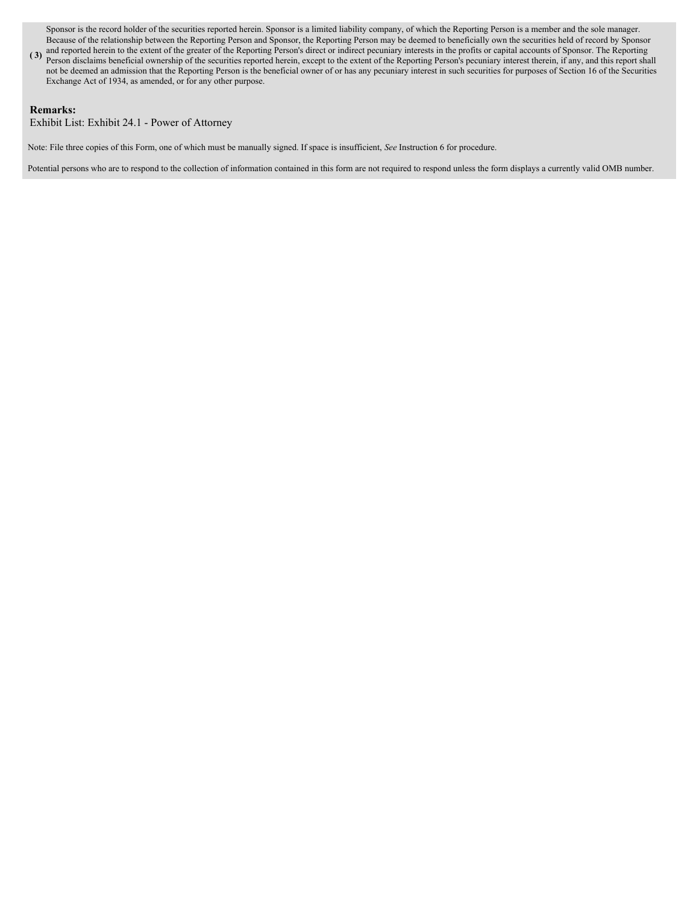Sponsor is the record holder of the securities reported herein. Sponsor is a limited liability company, of which the Reporting Person is a member and the sole manager. Because of the relationship between the Reporting Person and Sponsor, the Reporting Person may be deemed to beneficially own the securities held of record by Sponsor

**(3)** and reported herein to the extent of the greater of the Reporting Person's direct or indirect pecuniary interests in the profits or capital accounts of Sponsor. The Reporting person is a set of the Reporting Person i Person disclaims beneficial ownership of the securities reported herein, except to the extent of the Reporting Person's pecuniary interest therein, if any, and this report shall not be deemed an admission that the Reporting Person is the beneficial owner of or has any pecuniary interest in such securities for purposes of Section 16 of the Securities Exchange Act of 1934, as amended, or for any other purpose.

## **Remarks:**

Exhibit List: Exhibit 24.1 - Power of Attorney

Note: File three copies of this Form, one of which must be manually signed. If space is insufficient, *See* Instruction 6 for procedure.

Potential persons who are to respond to the collection of information contained in this form are not required to respond unless the form displays a currently valid OMB number.